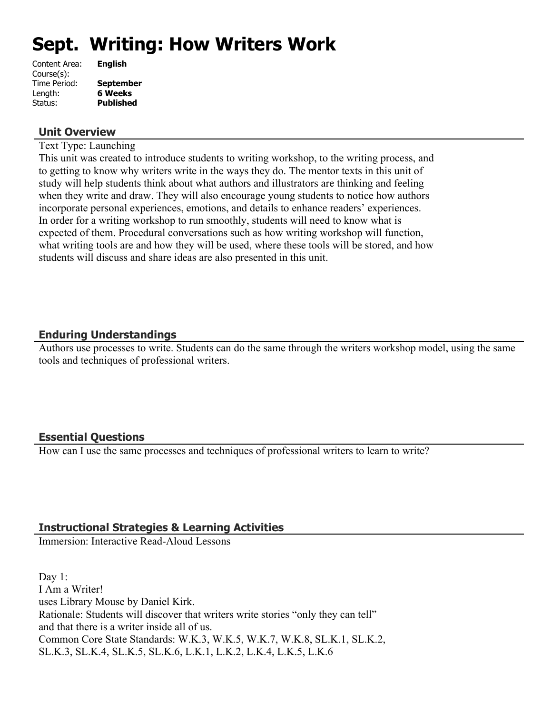# **Sept. Writing: How Writers Work**

| <b>English</b>   |
|------------------|
|                  |
| <b>September</b> |
| <b>6 Weeks</b>   |
| <b>Published</b> |
|                  |

#### **Unit Overview**

Text Type: Launching

This unit was created to introduce students to writing workshop, to the writing process, and to getting to know why writers write in the ways they do. The mentor texts in this unit of study will help students think about what authors and illustrators are thinking and feeling when they write and draw. They will also encourage young students to notice how authors incorporate personal experiences, emotions, and details to enhance readers' experiences. In order for a writing workshop to run smoothly, students will need to know what is expected of them. Procedural conversations such as how writing workshop will function, what writing tools are and how they will be used, where these tools will be stored, and how students will discuss and share ideas are also presented in this unit.

# **Enduring Understandings**

Authors use processes to write. Students can do the same through the writers workshop model, using the same tools and techniques of professional writers.

#### **Essential Questions**

How can I use the same processes and techniques of professional writers to learn to write?

# **Instructional Strategies & Learning Activities**

Immersion: Interactive Read-Aloud Lessons

Day 1: I Am a Writer! uses Library Mouse by Daniel Kirk. Rationale: Students will discover that writers write stories "only they can tell" and that there is a writer inside all of us. Common Core State Standards: W.K.3, W.K.5, W.K.7, W.K.8, SL.K.1, SL.K.2, SL.K.3, SL.K.4, SL.K.5, SL.K.6, L.K.1, L.K.2, L.K.4, L.K.5, L.K.6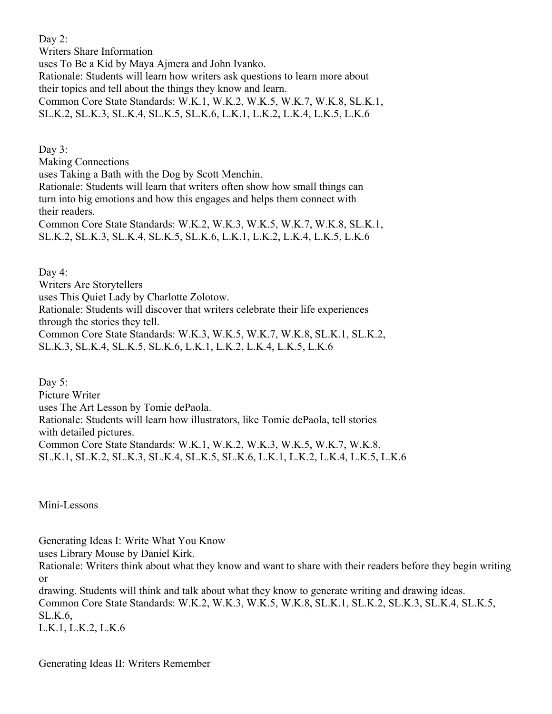Day 2: Writers Share Information uses To Be a Kid by Maya Ajmera and John Ivanko. Rationale: Students will learn how writers ask questions to learn more about their topics and tell about the things they know and learn. Common Core State Standards: W.K.1, W.K.2, W.K.5, W.K.7, W.K.8, SL.K.1, SL.K.2, SL.K.3, SL.K.4, SL.K.5, SL.K.6, L.K.1, L.K.2, L.K.4, L.K.5, L.K.6

Day 3: Making Connections uses Taking a Bath with the Dog by Scott Menchin. Rationale: Students will learn that writers often show how small things can turn into big emotions and how this engages and helps them connect with their readers. Common Core State Standards: W.K.2, W.K.3, W.K.5, W.K.7, W.K.8, SL.K.1, SL.K.2, SL.K.3, SL.K.4, SL.K.5, SL.K.6, L.K.1, L.K.2, L.K.4, L.K.5, L.K.6

Day 4:

Writers Are Storytellers

uses This Quiet Lady by Charlotte Zolotow.

Rationale: Students will discover that writers celebrate their life experiences through the stories they tell.

Common Core State Standards: W.K.3, W.K.5, W.K.7, W.K.8, SL.K.1, SL.K.2, SL.K.3, SL.K.4, SL.K.5, SL.K.6, L.K.1, L.K.2, L.K.4, L.K.5, L.K.6

Day 5: Picture Writer uses The Art Lesson by Tomie dePaola. Rationale: Students will learn how illustrators, like Tomie dePaola, tell stories with detailed pictures. Common Core State Standards: W.K.1, W.K.2, W.K.3, W.K.5, W.K.7, W.K.8, SL.K.1, SL.K.2, SL.K.3, SL.K.4, SL.K.5, SL.K.6, L.K.1, L.K.2, L.K.4, L.K.5, L.K.6

Mini-Lessons

Generating Ideas I: Write What You Know

uses Library Mouse by Daniel Kirk.

Rationale: Writers think about what they know and want to share with their readers before they begin writing or

drawing. Students will think and talk about what they know to generate writing and drawing ideas. Common Core State Standards: W.K.2, W.K.3, W.K.5, W.K.8, SL.K.1, SL.K.2, SL.K.3, SL.K.4, SL.K.5, SL.K.6, L.K.1, L.K.2, L.K.6

Generating Ideas II: Writers Remember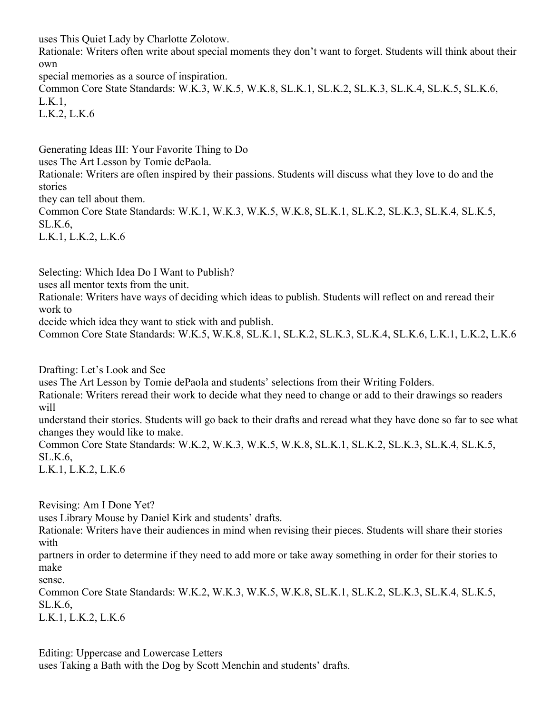uses This Quiet Lady by Charlotte Zolotow.

Rationale: Writers often write about special moments they don't want to forget. Students will think about their own

special memories as a source of inspiration.

Common Core State Standards: W.K.3, W.K.5, W.K.8, SL.K.1, SL.K.2, SL.K.3, SL.K.4, SL.K.5, SL.K.6, L.K.1,

L.K.2, L.K.6

Generating Ideas III: Your Favorite Thing to Do

uses The Art Lesson by Tomie dePaola.

Rationale: Writers are often inspired by their passions. Students will discuss what they love to do and the stories

they can tell about them.

Common Core State Standards: W.K.1, W.K.3, W.K.5, W.K.8, SL.K.1, SL.K.2, SL.K.3, SL.K.4, SL.K.5, SL.K.6,

L.K.1, L.K.2, L.K.6

Selecting: Which Idea Do I Want to Publish?

uses all mentor texts from the unit.

Rationale: Writers have ways of deciding which ideas to publish. Students will reflect on and reread their work to

decide which idea they want to stick with and publish.

Common Core State Standards: W.K.5, W.K.8, SL.K.1, SL.K.2, SL.K.3, SL.K.4, SL.K.6, L.K.1, L.K.2, L.K.6

Drafting: Let's Look and See

uses The Art Lesson by Tomie dePaola and students' selections from their Writing Folders.

Rationale: Writers reread their work to decide what they need to change or add to their drawings so readers will

understand their stories. Students will go back to their drafts and reread what they have done so far to see what changes they would like to make.

Common Core State Standards: W.K.2, W.K.3, W.K.5, W.K.8, SL.K.1, SL.K.2, SL.K.3, SL.K.4, SL.K.5, SL.K.6,

L.K.1, L.K.2, L.K.6

Revising: Am I Done Yet?

uses Library Mouse by Daniel Kirk and students' drafts.

Rationale: Writers have their audiences in mind when revising their pieces. Students will share their stories with

partners in order to determine if they need to add more or take away something in order for their stories to make

sense.

Common Core State Standards: W.K.2, W.K.3, W.K.5, W.K.8, SL.K.1, SL.K.2, SL.K.3, SL.K.4, SL.K.5, SL.K.6,

L.K.1, L.K.2, L.K.6

Editing: Uppercase and Lowercase Letters

uses Taking a Bath with the Dog by Scott Menchin and students' drafts.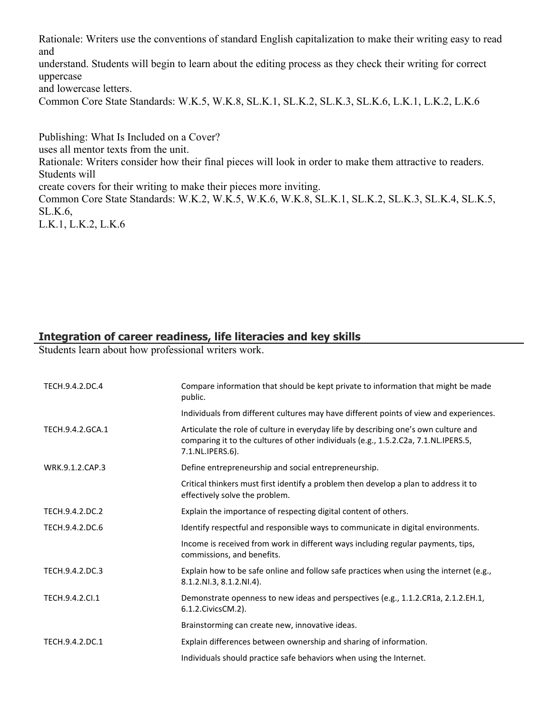Rationale: Writers use the conventions of standard English capitalization to make their writing easy to read and

understand. Students will begin to learn about the editing process as they check their writing for correct uppercase

and lowercase letters.

Common Core State Standards: W.K.5, W.K.8, SL.K.1, SL.K.2, SL.K.3, SL.K.6, L.K.1, L.K.2, L.K.6

Publishing: What Is Included on a Cover? uses all mentor texts from the unit. Rationale: Writers consider how their final pieces will look in order to make them attractive to readers. Students will create covers for their writing to make their pieces more inviting. Common Core State Standards: W.K.2, W.K.5, W.K.6, W.K.8, SL.K.1, SL.K.2, SL.K.3, SL.K.4, SL.K.5, SL.K.6, L.K.1, L.K.2, L.K.6

# **Integration of career readiness, life literacies and key skills**

Students learn about how professional writers work.

| TECH.9.4.2.DC.4  | Compare information that should be kept private to information that might be made<br>public.                                                                                                   |
|------------------|------------------------------------------------------------------------------------------------------------------------------------------------------------------------------------------------|
|                  | Individuals from different cultures may have different points of view and experiences.                                                                                                         |
| TECH.9.4.2.GCA.1 | Articulate the role of culture in everyday life by describing one's own culture and<br>comparing it to the cultures of other individuals (e.g., 1.5.2.C2a, 7.1.NL.IPERS.5,<br>7.1.NL.IPERS.6). |
| WRK.9.1.2.CAP.3  | Define entrepreneurship and social entrepreneurship.                                                                                                                                           |
|                  | Critical thinkers must first identify a problem then develop a plan to address it to<br>effectively solve the problem.                                                                         |
| TECH.9.4.2.DC.2  | Explain the importance of respecting digital content of others.                                                                                                                                |
| TECH.9.4.2.DC.6  | Identify respectful and responsible ways to communicate in digital environments.                                                                                                               |
|                  | Income is received from work in different ways including regular payments, tips,<br>commissions, and benefits.                                                                                 |
| TECH.9.4.2.DC.3  | Explain how to be safe online and follow safe practices when using the internet (e.g.,<br>8.1.2.NI.3, 8.1.2.NI.4).                                                                             |
| TECH.9.4.2.Cl.1  | Demonstrate openness to new ideas and perspectives (e.g., 1.1.2.CR1a, 2.1.2.EH.1,<br>6.1.2. Civics CM. 2).                                                                                     |
|                  | Brainstorming can create new, innovative ideas.                                                                                                                                                |
| TECH.9.4.2.DC.1  | Explain differences between ownership and sharing of information.                                                                                                                              |
|                  | Individuals should practice safe behaviors when using the Internet.                                                                                                                            |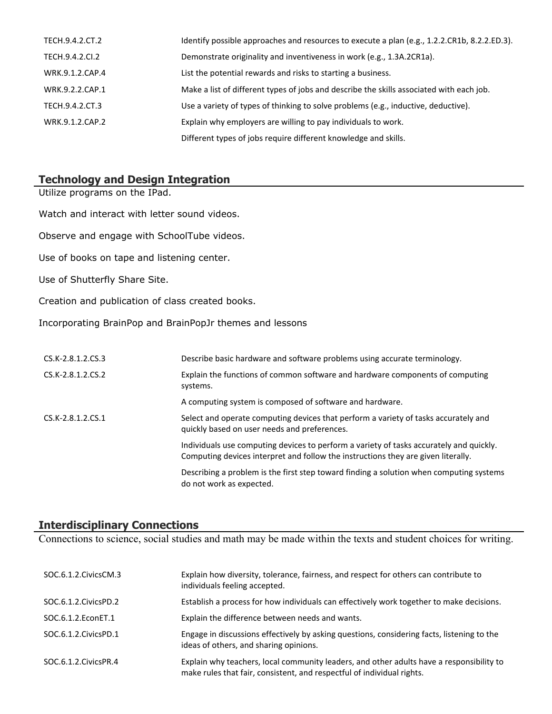| TECH.9.4.2.CT.2 | Identify possible approaches and resources to execute a plan (e.g., 1.2.2.CR1b, 8.2.2.ED.3). |
|-----------------|----------------------------------------------------------------------------------------------|
| TECH.9.4.2.CI.2 | Demonstrate originality and inventiveness in work (e.g., 1.3A.2CR1a).                        |
| WRK.9.1.2.CAP.4 | List the potential rewards and risks to starting a business.                                 |
| WRK.9.2.2.CAP.1 | Make a list of different types of jobs and describe the skills associated with each job.     |
| TECH.9.4.2.CT.3 | Use a variety of types of thinking to solve problems (e.g., inductive, deductive).           |
| WRK.9.1.2.CAP.2 | Explain why employers are willing to pay individuals to work.                                |
|                 | Different types of jobs require different knowledge and skills.                              |

# **Technology and Design Integration**

| Utilize programs on the IPad.                            |                                                                                                                                                                              |
|----------------------------------------------------------|------------------------------------------------------------------------------------------------------------------------------------------------------------------------------|
| Watch and interact with letter sound videos.             |                                                                                                                                                                              |
| Observe and engage with SchoolTube videos.               |                                                                                                                                                                              |
| Use of books on tape and listening center.               |                                                                                                                                                                              |
| Use of Shutterfly Share Site.                            |                                                                                                                                                                              |
| Creation and publication of class created books.         |                                                                                                                                                                              |
| Incorporating BrainPop and BrainPopJr themes and lessons |                                                                                                                                                                              |
|                                                          |                                                                                                                                                                              |
| CS.K-2.8.1.2.CS.3                                        | Describe basic hardware and software problems using accurate terminology.                                                                                                    |
| CS.K-2.8.1.2.CS.2                                        | Explain the functions of common software and hardware components of computing<br>systems.                                                                                    |
|                                                          | A computing system is composed of software and hardware.                                                                                                                     |
| CS.K-2.8.1.2.CS.1                                        | Select and operate computing devices that perform a variety of tasks accurately and<br>quickly based on user needs and preferences.                                          |
|                                                          | Individuals use computing devices to perform a variety of tasks accurately and quickly.<br>Computing devices interpret and follow the instructions they are given literally. |

Describing a problem is the first step toward finding a solution when computing systems do not work as expected.

#### **Interdisciplinary Connections**

Connections to science, social studies and math may be made within the texts and student choices for writing.

| SOC.6.1.2. Civics CM.3 | Explain how diversity, tolerance, fairness, and respect for others can contribute to<br>individuals feeling accepted.                                              |
|------------------------|--------------------------------------------------------------------------------------------------------------------------------------------------------------------|
| SOC.6.1.2. Civics PD.2 | Establish a process for how individuals can effectively work together to make decisions.                                                                           |
| SOC.6.1.2. EconET.1    | Explain the difference between needs and wants.                                                                                                                    |
| SOC.6.1.2. Civics PD.1 | Engage in discussions effectively by asking questions, considering facts, listening to the<br>ideas of others, and sharing opinions.                               |
| SOC.6.1.2. Civics PR.4 | Explain why teachers, local community leaders, and other adults have a responsibility to<br>make rules that fair, consistent, and respectful of individual rights. |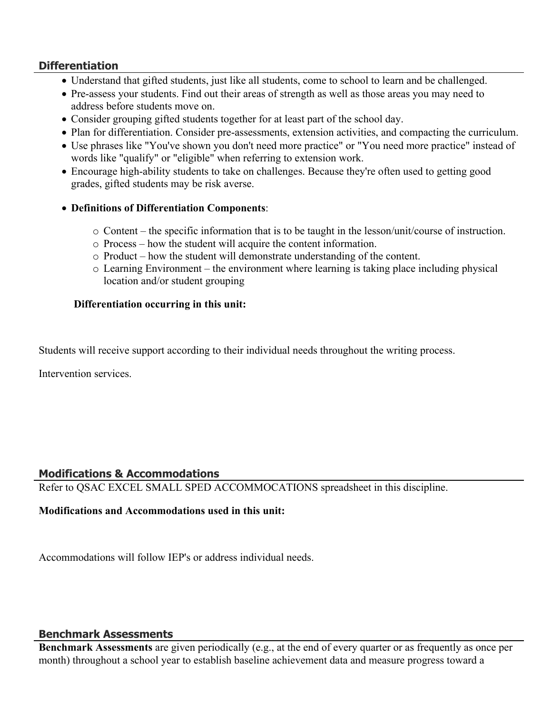# **Differentiation**

- Understand that gifted students, just like all students, come to school to learn and be challenged.
- Pre-assess your students. Find out their areas of strength as well as those areas you may need to address before students move on.
- Consider grouping gifted students together for at least part of the school day.
- Plan for differentiation. Consider pre-assessments, extension activities, and compacting the curriculum.
- Use phrases like "You've shown you don't need more practice" or "You need more practice" instead of words like "qualify" or "eligible" when referring to extension work.
- Encourage high-ability students to take on challenges. Because they're often used to getting good grades, gifted students may be risk averse.
- **Definitions of Differentiation Components**:
	- o Content the specific information that is to be taught in the lesson/unit/course of instruction.
	- o Process how the student will acquire the content information.
	- o Product how the student will demonstrate understanding of the content.
	- o Learning Environment the environment where learning is taking place including physical location and/or student grouping

#### **Differentiation occurring in this unit:**

Students will receive support according to their individual needs throughout the writing process.

Intervention services.

#### **Modifications & Accommodations**

Refer to QSAC EXCEL SMALL SPED ACCOMMOCATIONS spreadsheet in this discipline.

#### **Modifications and Accommodations used in this unit:**

Accommodations will follow IEP's or address individual needs.

#### **Benchmark Assessments**

**Benchmark Assessments** are given periodically (e.g., at the end of every quarter or as frequently as once per month) throughout a school year to establish baseline achievement data and measure progress toward a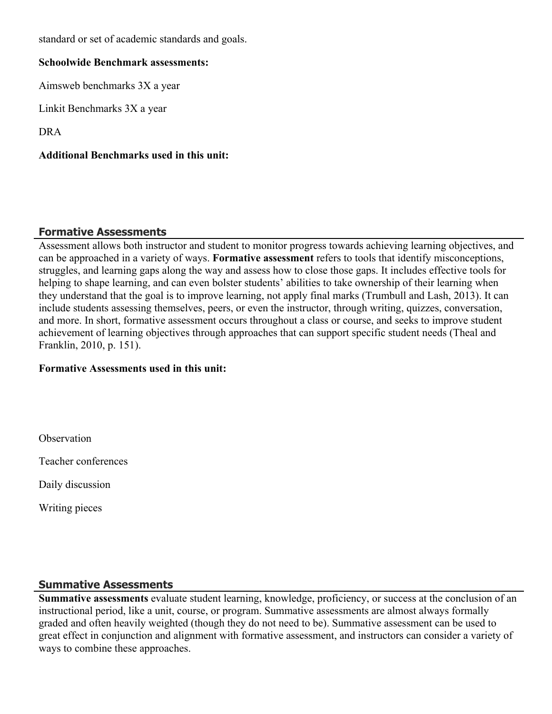standard or set of academic standards and goals.

# **Schoolwide Benchmark assessments:**

Aimsweb benchmarks 3X a year

Linkit Benchmarks 3X a year

DRA

**Additional Benchmarks used in this unit:**

# **Formative Assessments**

Assessment allows both instructor and student to monitor progress towards achieving learning objectives, and can be approached in a variety of ways. **Formative assessment** refers to tools that identify misconceptions, struggles, and learning gaps along the way and assess how to close those gaps. It includes effective tools for helping to shape learning, and can even bolster students' abilities to take ownership of their learning when they understand that the goal is to improve learning, not apply final marks (Trumbull and Lash, 2013). It can include students assessing themselves, peers, or even the instructor, through writing, quizzes, conversation, and more. In short, formative assessment occurs throughout a class or course, and seeks to improve student achievement of learning objectives through approaches that can support specific student needs (Theal and Franklin, 2010, p. 151).

#### **Formative Assessments used in this unit:**

**Observation** 

Teacher conferences

Daily discussion

Writing pieces

#### **Summative Assessments**

**Summative assessments** evaluate student learning, knowledge, proficiency, or success at the conclusion of an instructional period, like a unit, course, or program. Summative assessments are almost always formally graded and often heavily weighted (though they do not need to be). Summative assessment can be used to great effect in conjunction and alignment with formative assessment, and instructors can consider a variety of ways to combine these approaches.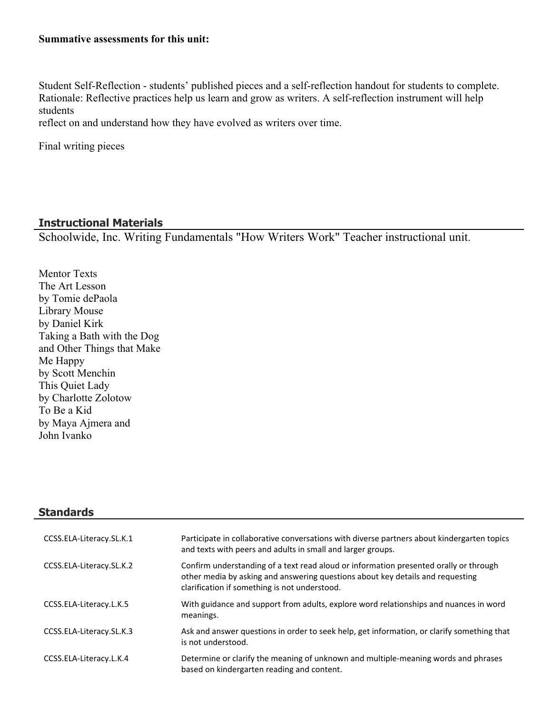#### **Summative assessments for this unit:**

Student Self-Reflection - students' published pieces and a self-reflection handout for students to complete. Rationale: Reflective practices help us learn and grow as writers. A self-reflection instrument will help students

reflect on and understand how they have evolved as writers over time.

Final writing pieces

#### **Instructional Materials**

Schoolwide, Inc. Writing Fundamentals "How Writers Work" Teacher instructional unit.

Mentor Texts The Art Lesson by Tomie dePaola Library Mouse by Daniel Kirk Taking a Bath with the Dog and Other Things that Make Me Happy by Scott Menchin This Quiet Lady by Charlotte Zolotow To Be a Kid by Maya Ajmera and John Ivanko

# **Standards**

| CCSS.ELA-Literacy.SL.K.1 | Participate in collaborative conversations with diverse partners about kindergarten topics<br>and texts with peers and adults in small and larger groups.                                                                |
|--------------------------|--------------------------------------------------------------------------------------------------------------------------------------------------------------------------------------------------------------------------|
| CCSS.ELA-Literacy.SL.K.2 | Confirm understanding of a text read aloud or information presented orally or through<br>other media by asking and answering questions about key details and requesting<br>clarification if something is not understood. |
| CCSS.ELA-Literacy.L.K.5  | With guidance and support from adults, explore word relationships and nuances in word<br>meanings.                                                                                                                       |
| CCSS.ELA-Literacy.SL.K.3 | Ask and answer questions in order to seek help, get information, or clarify something that<br>is not understood.                                                                                                         |
| CCSS.ELA-Literacy.L.K.4  | Determine or clarify the meaning of unknown and multiple-meaning words and phrases<br>based on kindergarten reading and content.                                                                                         |